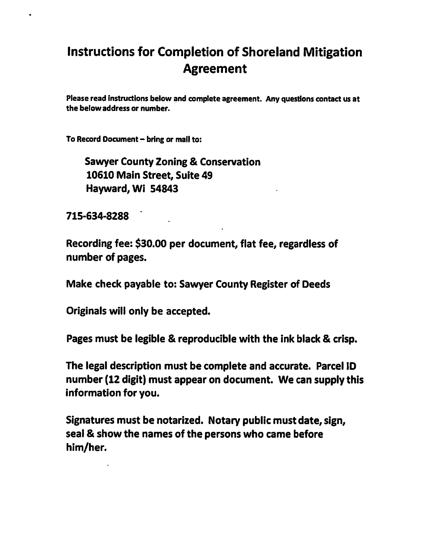## Instructions for Completion of Shoreland Mitigation Agreement

Please read Instructions below and complete agreement. Any questions contact us at the below address or number.

To Record Document - bring or mail to:

Sawyer County Zoning & Conservation 10610 Main Street, Suite 49 Hayward, Wi 54843

715-634-8288

Recording fee: \$30.00 per document, flat fee, regardless of number of pages.

Make check payable to: Sawyer County Register of Deeds

Originals will only be accepted.

Pages must be legible & reproducible with the ink black & crisp.

The legal description must be complete and accurate. Parcel ID number (12 digit) must appear on document. We can supply this information for you.

Signatures must be notarized. Notary public must date, sign, seal & show the names of the persons who came before him/her.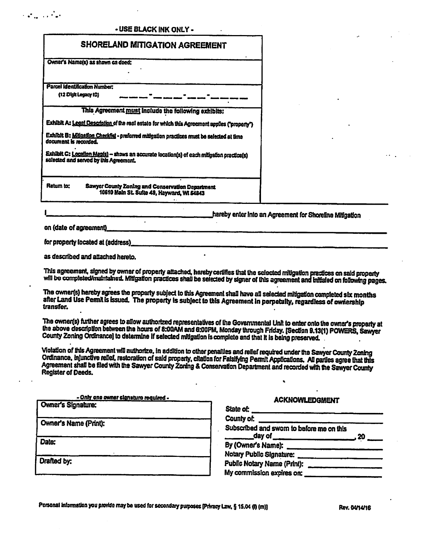## - USE BLACK INK ONLY -

| <b>SHORELAND MITIGATION AGREEMENT</b>                                                                                               |                                                                                                |  |  |
|-------------------------------------------------------------------------------------------------------------------------------------|------------------------------------------------------------------------------------------------|--|--|
|                                                                                                                                     | Owner's Name(s) as shown on deed:                                                              |  |  |
|                                                                                                                                     | <b>Parcel Identification Number:</b>                                                           |  |  |
| (12 Dight Legacy 10)                                                                                                                |                                                                                                |  |  |
|                                                                                                                                     | This Agreement must include the following exhibits:                                            |  |  |
| Exhibit A: Legal Description of the roof estate for which this Agreement applies ("property")                                       |                                                                                                |  |  |
| Exhibit B: Milgation Checkist - preforred mitigation practices must be selected at time<br>document is recorded.                    |                                                                                                |  |  |
| Exhibit C: Location Map(s) - shows an accurate location(s) of each mitigation practice(s)<br>selected and served by this Agreement. |                                                                                                |  |  |
| Ratum to:                                                                                                                           | Sawyer County Zoning and Conservation Department<br>10610 Main St. Suite 49, Hayward, WI 54843 |  |  |

hereby enter into an Agreement for Shoreline Mitigation

on (date of agreement)

for property located at (address)

as described and attached hereto.

This agreement, signed by owner of property attached, hereby certifies that the selected mitigation practices on said property will be completed/maintained. Mitigation practices shall be selected by signer of this agreement and initialed on following pages.

The owner(s) hereby agrees the property subject to this Agreement shall have all selected mitigation completed six months after Land Use Permit is issued. The property is subject to this Agreement in perpetulty, regardless of ownership transfer.

The owner(s) further agrees to allow authorized representatives of the Governmental Unit to enter onto the owner's property at the above description between the hours of 8:00AM and 6:00PM, Monday through Friday. [Section 9.13(1) POWERS, Sawyer County Zoning Ordinance) to determine if selected mitigation is complete and that it is being preserved.

Violation of this Agreement will authorize, in addition to other penalties and relief required under the Sawyer County Zoning Ordinance, injunctive relief, restoration of said property, citation for Falsifying Permit Applications. All parties agree that this Agreement shall be filed with the Sawyer County Zoning & Conservation Department and recorded with the Sawyer County **Register of Deeds.** 

| - Only one owner signature required - |  |  |
|---------------------------------------|--|--|
| Owner's Signature:                    |  |  |
| Owner's Name (Print):                 |  |  |
| Date:                                 |  |  |
| Drafted by:                           |  |  |
|                                       |  |  |

## **ACKNOWLEDGMENT**

| Notary Public Signature: |
|--------------------------|
|                          |
|                          |
|                          |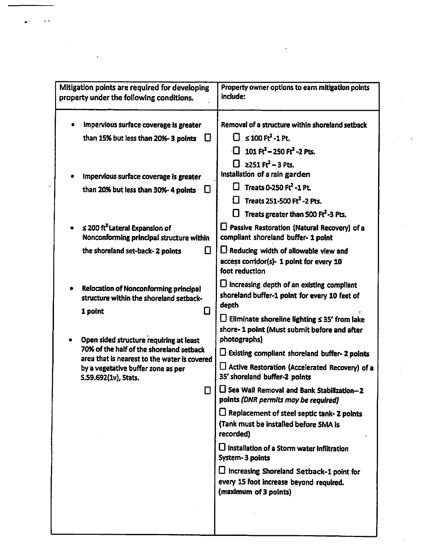| Mitigation points are required for developing<br>property under the following conditions.   | Property owner options to earn mitigation points<br>include:                                                                                                                                                                 |
|---------------------------------------------------------------------------------------------|------------------------------------------------------------------------------------------------------------------------------------------------------------------------------------------------------------------------------|
| Impervious surface coverage is greater<br>than 15% but less than 20%-3 points               | Removal of a structure within shoreland setback<br>$\Box$ ≤ 100 Ft <sup>2</sup> -1 Pt.<br>$\Box$ 101 Ft <sup>2</sup> – 250 Ft <sup>2</sup> –2 Pts.                                                                           |
| Impervious surface coverage is greater<br>than 20% but less than 30%-4 points<br>1 I        | $\Box$ 2251 Ft <sup>2</sup> – 3 Pts.<br>Installation of a rain garden<br>$\Box$ Treats 0-250 Ft <sup>2</sup> -1 Pt.<br>$\Box$ Treats 251-500 Ft <sup>2</sup> -2 Pts.<br>Treats greater than 500 Ft <sup>2</sup> -3 Pts.<br>U |
| $\leq$ 200 ft <sup>2</sup> Lateral Expansion of<br>Nonconforming principal structure within | $\square$ Passive Restoration (Natural Recovery) of a<br>compliant shoreland buffer- 1 point                                                                                                                                 |
| the shoreland set-back-2 points<br>11                                                       | $\Box$ Reducing width of allowable view and<br>access corridor(s)- 1 point for every 10<br>foot reduction                                                                                                                    |
| <b>Relocation of Nonconforming principal</b><br>structure within the shoreland setback-     | $\square$ Increasing depth of an existing compliant<br>shoreland buffer-1 point for every 10 feet of<br>depth                                                                                                                |
| 1 point<br>11<br>Open sided structure requiring at least                                    | $\square$ Eliminate shoreline lighting $\leq$ 35' from lake<br>shore- 1 point (Must submit before and after<br>photographs)                                                                                                  |
| 70% of the half of the shoreland setback<br>area that is nearest to the water is covered    | $\square$ Existing compliant shoreland buffer- 2 points                                                                                                                                                                      |
| by a vegetative buffer zone as per<br>S.59.692(1v), Stats.                                  | LJ Active Restoration (Accelerated Recovery) of a<br>35' shoreland buffer-2 points                                                                                                                                           |
| $\mathsf{L}$                                                                                | $\Box$ Sea Wall Removal and Bank Stabilization-2<br>points (DNR permits may be required)                                                                                                                                     |
|                                                                                             | $\square$ Replacement of steel septic tank- 2 points<br>(Tank must be installed before SMA is<br>recorded)                                                                                                                   |
|                                                                                             | $\square$ Installation of a Storm water Infiltration<br><b>System-3 points</b>                                                                                                                                               |
|                                                                                             | $\square$ Increasing Shoreland Setback-1 point for<br>every 15 foot increase beyond required.<br>(maximum of 3 points)                                                                                                       |
|                                                                                             |                                                                                                                                                                                                                              |

 $\bullet$ 

 $\sim$   $\sim$ 

 $\bullet$